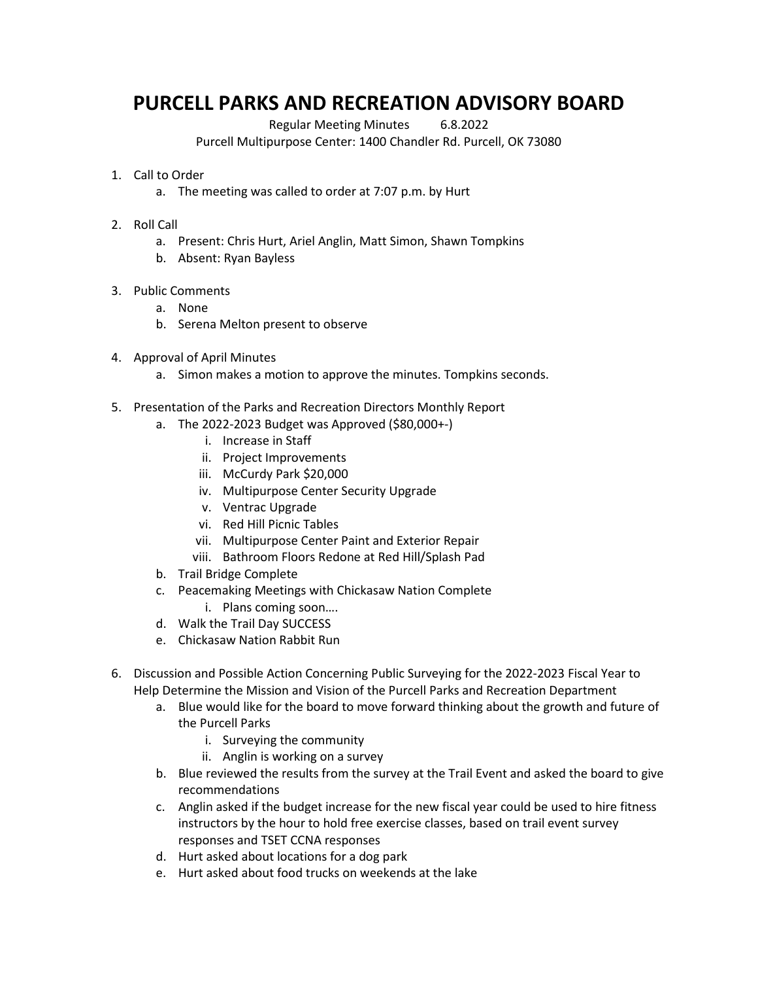## **PURCELL PARKS AND RECREATION ADVISORY BOARD**

Regular Meeting Minutes 6.8.2022

Purcell Multipurpose Center: 1400 Chandler Rd. Purcell, OK 73080

- 1. Call to Order
	- a. The meeting was called to order at 7:07 p.m. by Hurt
- 2. Roll Call
	- a. Present: Chris Hurt, Ariel Anglin, Matt Simon, Shawn Tompkins
	- b. Absent: Ryan Bayless
- 3. Public Comments
	- a. None
	- b. Serena Melton present to observe
- 4. Approval of April Minutes
	- a. Simon makes a motion to approve the minutes. Tompkins seconds.
- 5. Presentation of the Parks and Recreation Directors Monthly Report
	- a. The 2022-2023 Budget was Approved (\$80,000+-)
		- i. Increase in Staff
		- ii. Project Improvements
		- iii. McCurdy Park \$20,000
		- iv. Multipurpose Center Security Upgrade
		- v. Ventrac Upgrade
		- vi. Red Hill Picnic Tables
		- vii. Multipurpose Center Paint and Exterior Repair
		- viii. Bathroom Floors Redone at Red Hill/Splash Pad
	- b. Trail Bridge Complete
	- c. Peacemaking Meetings with Chickasaw Nation Complete
		- i. Plans coming soon….
	- d. Walk the Trail Day SUCCESS
	- e. Chickasaw Nation Rabbit Run
- 6. Discussion and Possible Action Concerning Public Surveying for the 2022-2023 Fiscal Year to Help Determine the Mission and Vision of the Purcell Parks and Recreation Department
	- a. Blue would like for the board to move forward thinking about the growth and future of the Purcell Parks
		- i. Surveying the community
		- ii. Anglin is working on a survey
	- b. Blue reviewed the results from the survey at the Trail Event and asked the board to give recommendations
	- c. Anglin asked if the budget increase for the new fiscal year could be used to hire fitness instructors by the hour to hold free exercise classes, based on trail event survey responses and TSET CCNA responses
	- d. Hurt asked about locations for a dog park
	- e. Hurt asked about food trucks on weekends at the lake